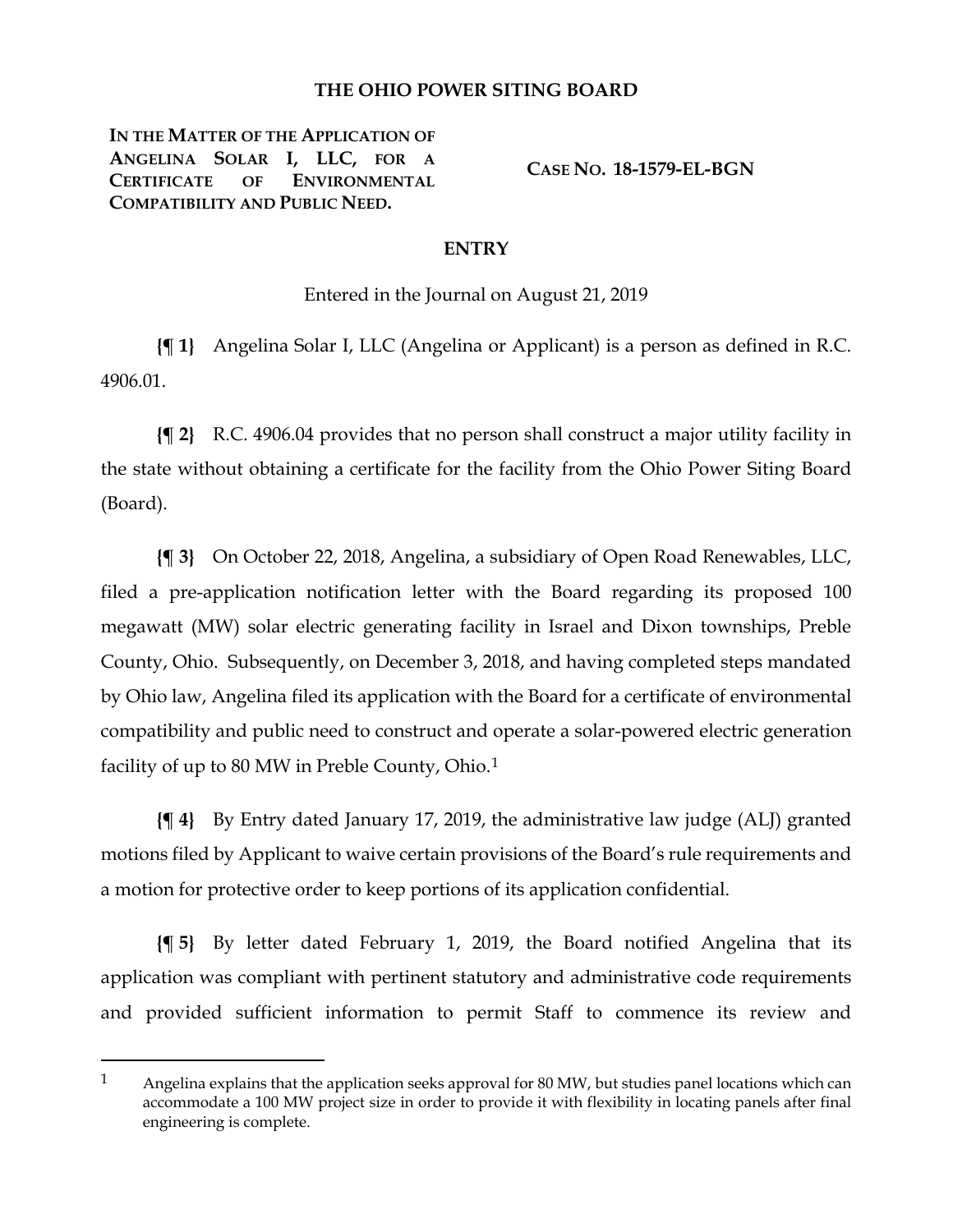## **THE OHIO POWER SITING BOARD**

**IN THE MATTER OF THE APPLICATION OF ANGELINA SOLAR I, LLC, FOR A CERTIFICATE OF ENVIRONMENTAL COMPATIBILITY AND PUBLIC NEED.**

 $\overline{a}$ 

**CASE NO. 18-1579-EL-BGN**

## **ENTRY**

Entered in the Journal on August 21, 2019

**{¶ 1}** Angelina Solar I, LLC (Angelina or Applicant) is a person as defined in R.C. 4906.01.

**{¶ 2}** R.C. 4906.04 provides that no person shall construct a major utility facility in the state without obtaining a certificate for the facility from the Ohio Power Siting Board (Board).

**{¶ 3}** On October 22, 2018, Angelina, a subsidiary of Open Road Renewables, LLC, filed a pre-application notification letter with the Board regarding its proposed 100 megawatt (MW) solar electric generating facility in Israel and Dixon townships, Preble County, Ohio. Subsequently, on December 3, 2018, and having completed steps mandated by Ohio law, Angelina filed its application with the Board for a certificate of environmental compatibility and public need to construct and operate a solar-powered electric generation facility of up to 80 MW in Preble County, Ohio.<sup>[1](#page-0-0)</sup>

**{¶ 4}** By Entry dated January 17, 2019, the administrative law judge (ALJ) granted motions filed by Applicant to waive certain provisions of the Board's rule requirements and a motion for protective order to keep portions of its application confidential.

**{¶ 5}** By letter dated February 1, 2019, the Board notified Angelina that its application was compliant with pertinent statutory and administrative code requirements and provided sufficient information to permit Staff to commence its review and

<span id="page-0-0"></span><sup>1</sup> Angelina explains that the application seeks approval for 80 MW, but studies panel locations which can accommodate a 100 MW project size in order to provide it with flexibility in locating panels after final engineering is complete.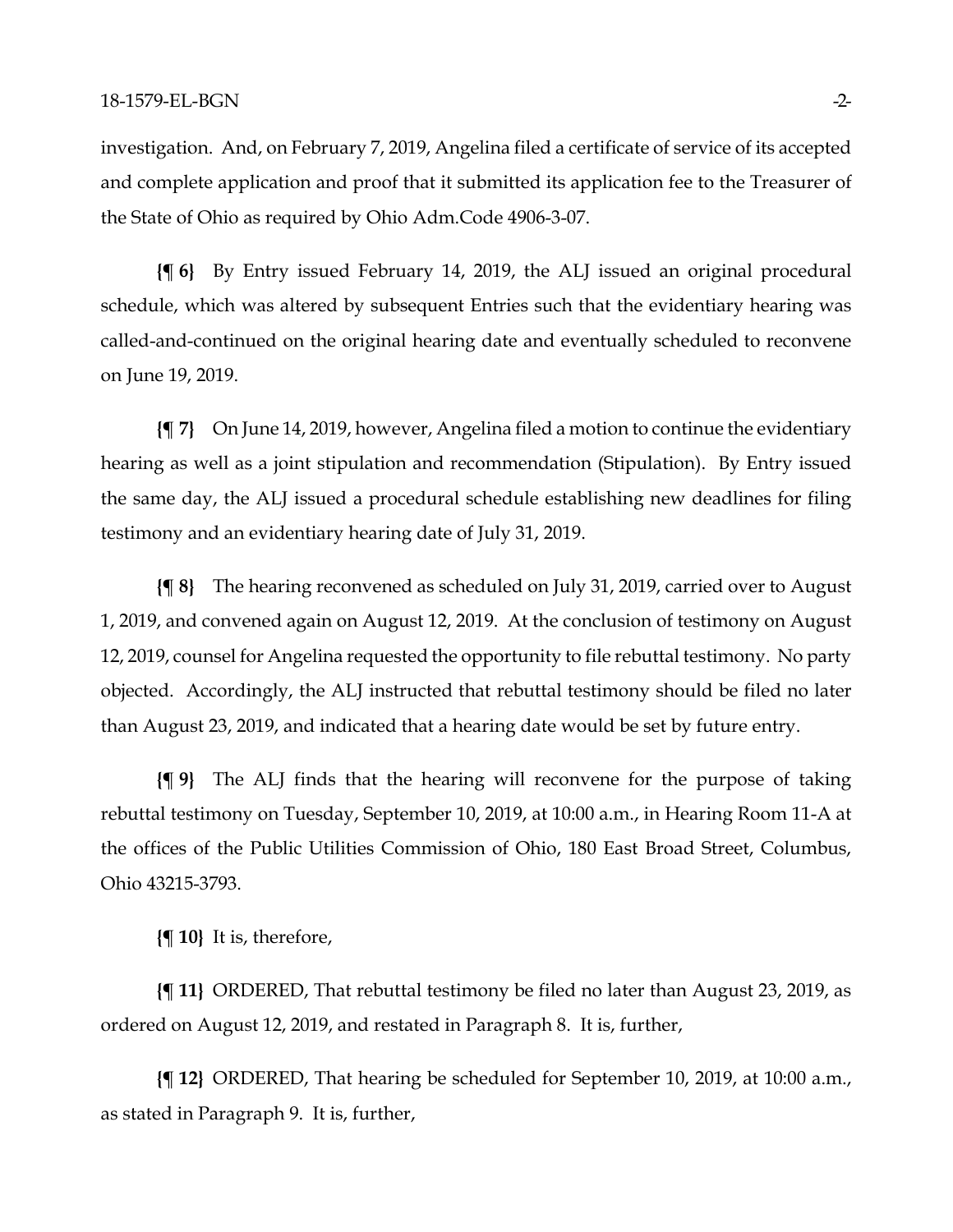investigation. And, on February 7, 2019, Angelina filed a certificate of service of its accepted and complete application and proof that it submitted its application fee to the Treasurer of the State of Ohio as required by Ohio Adm.Code 4906-3-07.

**{¶ 6}** By Entry issued February 14, 2019, the ALJ issued an original procedural schedule, which was altered by subsequent Entries such that the evidentiary hearing was called-and-continued on the original hearing date and eventually scheduled to reconvene on June 19, 2019.

**{¶ 7}** On June 14, 2019, however, Angelina filed a motion to continue the evidentiary hearing as well as a joint stipulation and recommendation (Stipulation). By Entry issued the same day, the ALJ issued a procedural schedule establishing new deadlines for filing testimony and an evidentiary hearing date of July 31, 2019.

**{¶ 8}** The hearing reconvened as scheduled on July 31, 2019, carried over to August 1, 2019, and convened again on August 12, 2019. At the conclusion of testimony on August 12, 2019, counsel for Angelina requested the opportunity to file rebuttal testimony. No party objected. Accordingly, the ALJ instructed that rebuttal testimony should be filed no later than August 23, 2019, and indicated that a hearing date would be set by future entry.

**{¶ 9}** The ALJ finds that the hearing will reconvene for the purpose of taking rebuttal testimony on Tuesday, September 10, 2019, at 10:00 a.m., in Hearing Room 11-A at the offices of the Public Utilities Commission of Ohio, 180 East Broad Street, Columbus, Ohio 43215-3793.

**{¶ 10}** It is, therefore,

**{¶ 11}** ORDERED, That rebuttal testimony be filed no later than August 23, 2019, as ordered on August 12, 2019, and restated in Paragraph 8. It is, further,

**{¶ 12}** ORDERED, That hearing be scheduled for September 10, 2019, at 10:00 a.m., as stated in Paragraph 9. It is, further,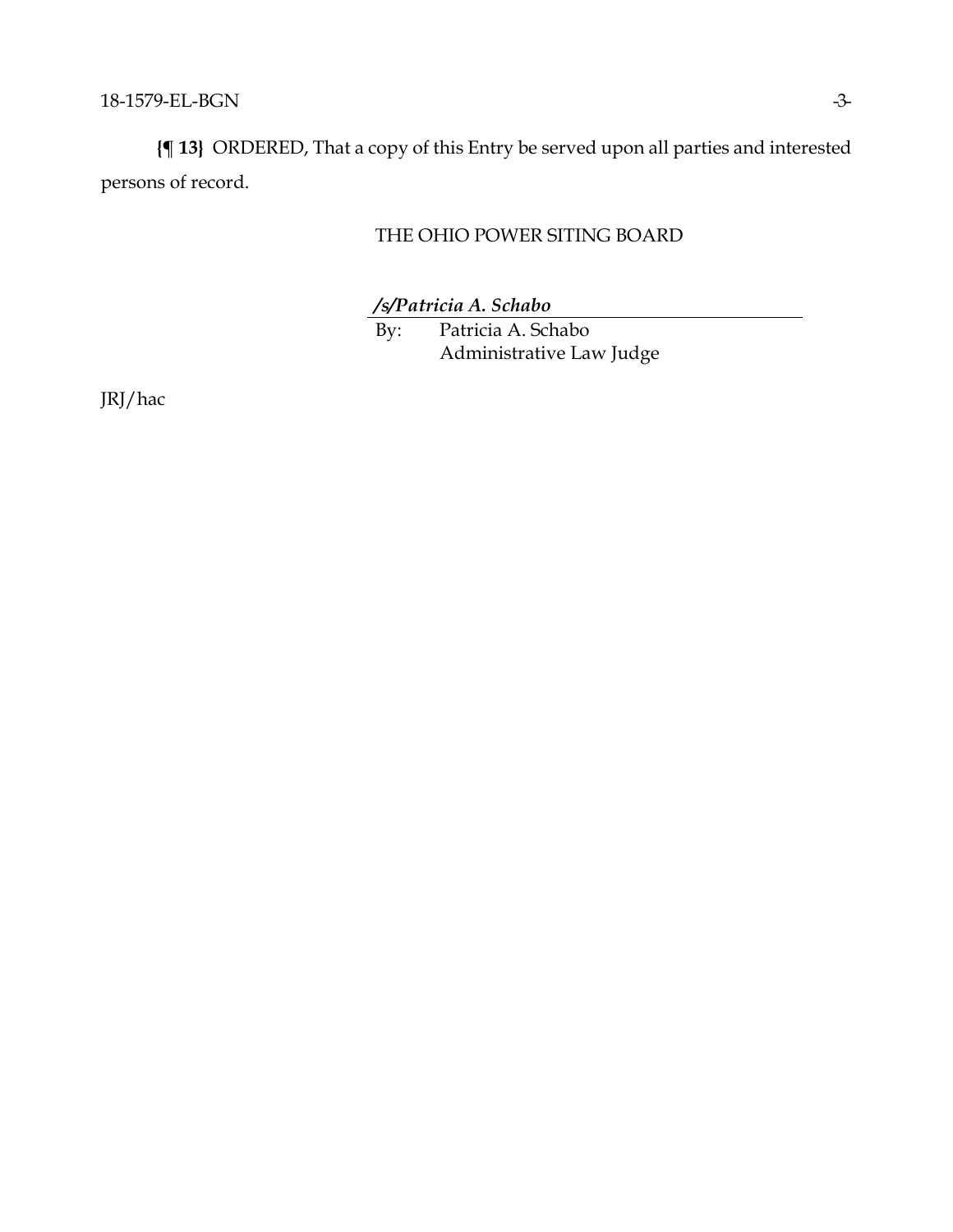**{¶ 13}** ORDERED, That a copy of this Entry be served upon all parties and interested persons of record.

## THE OHIO POWER SITING BOARD

*/s/Patricia A. Schabo*

By: Patricia A. Schabo Administrative Law Judge

JRJ/hac